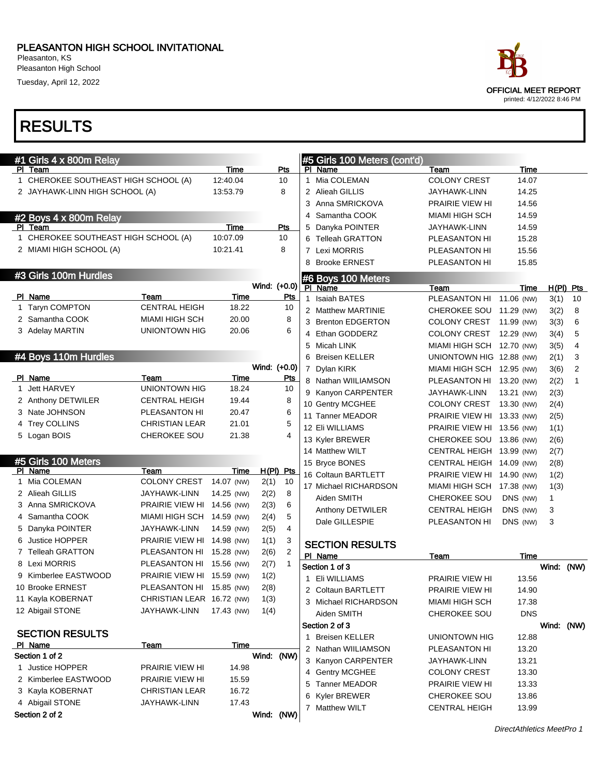Pleasanton, KS Pleasanton High School

Tuesday, April 12, 2022

| #1 Girls 4 x 800m Relay              |                            |            |              |                |              | #5 Girls 100 Meters (cont'd) |                            |            |            |             |
|--------------------------------------|----------------------------|------------|--------------|----------------|--------------|------------------------------|----------------------------|------------|------------|-------------|
| PI Team                              |                            | Time       |              | Pts            |              | PI Name                      | Team                       | Time       |            |             |
| 1 CHEROKEE SOUTHEAST HIGH SCHOOL (A) |                            | 12:40.04   |              | 10             |              | 1 Mia COLEMAN                | <b>COLONY CREST</b>        | 14.07      |            |             |
| 2 JAYHAWK-LINN HIGH SCHOOL (A)       |                            | 13:53.79   |              | 8              |              | 2 Alieah GILLIS              | JAYHAWK-LINN               | 14.25      |            |             |
|                                      |                            |            |              |                | 3            | Anna SMRICKOVA               | <b>PRAIRIE VIEW HI</b>     | 14.56      |            |             |
| #2 Boys 4 x 800m Relay               |                            |            |              |                | 4            | Samantha COOK                | <b>MIAMI HIGH SCH</b>      | 14.59      |            |             |
| PI Team                              |                            | Time       |              | Pts            | 5            | Danyka POINTER               | JAYHAWK-LINN               | 14.59      |            |             |
| 1 CHEROKEE SOUTHEAST HIGH SCHOOL (A) |                            | 10:07.09   |              | 10             |              | 6 Telleah GRATTON            | PLEASANTON HI              | 15.28      |            |             |
| 2 MIAMI HIGH SCHOOL (A)              |                            | 10:21.41   |              | 8              |              | 7 Lexi MORRIS                | PLEASANTON HI              | 15.56      |            |             |
|                                      |                            |            |              |                |              | 8 Brooke ERNEST              | PLEASANTON HI              | 15.85      |            |             |
| #3 Girls 100m Hurdles                |                            |            |              |                |              | #6 Boys 100 Meters           |                            |            |            |             |
| PI Name                              | Team                       | Time       | Wind: (+0.0) |                |              | PI Name                      | Team                       | Time       |            | $H(PI)$ Pts |
| 1 Taryn COMPTON                      | <b>CENTRAL HEIGH</b>       | 18.22      |              | Pts<br>10      | $\mathbf{1}$ | <b>Isaiah BATES</b>          | PLEASANTON HI              | 11.06 (NW) | 3(1)       | 10          |
| 2 Samantha COOK                      | <b>MIAMI HIGH SCH</b>      | 20.00      |              | 8              |              | 2 Matthew MARTINIE           | CHEROKEE SOU               | 11.29 (NW) | 3(2)       | 8           |
|                                      |                            |            |              | 6              |              | 3 Brenton EDGERTON           | COLONY CREST 11.99 (NW)    |            | 3(3)       | 6           |
| 3 Adelay MARTIN                      | <b>UNIONTOWN HIG</b>       | 20.06      |              |                | 4            | Ethan GODDERZ                | <b>COLONY CREST</b>        | 12.29 (NW) | 3(4)       | 5           |
|                                      |                            |            |              |                | 5            | Micah LINK                   | MIAMI HIGH SCH 12.70 (NW)  |            | 3(5)       | 4           |
| #4 Boys 110m Hurdles                 |                            |            |              |                | 6            | <b>Breisen KELLER</b>        | UNIONTOWN HIG 12.88 (NW)   |            | 2(1)       | 3           |
|                                      |                            |            | Wind: (+0.0) |                |              | 7 Dylan KIRK                 | MIAMI HIGH SCH 12.95 (NW)  |            | 3(6)       | 2           |
| PI Name                              | Team                       | Time       |              | Pts            |              | 8 Nathan WIILIAMSON          | PLEASANTON HI 13.20 (NW)   |            | 2(2)       | 1           |
| 1 Jett HARVEY                        | <b>UNIONTOWN HIG</b>       | 18.24      |              | 10             |              | 9 Kanyon CARPENTER           | JAYHAWK-LINN               | 13.21 (NW) | 2(3)       |             |
| 2 Anthony DETWILER                   | <b>CENTRAL HEIGH</b>       | 19.44      |              | 8              |              | 10 Gentry MCGHEE             | COLONY CREST 13.30 (NW)    |            | 2(4)       |             |
| 3 Nate JOHNSON                       | PLEASANTON HI              | 20.47      |              | 6              |              | 11 Tanner MEADOR             | PRAIRIE VIEW HI 13.33 (NW) |            | 2(5)       |             |
| 4 Trey COLLINS                       | <b>CHRISTIAN LEAR</b>      | 21.01      |              | 5              |              | 12 Eli WILLIAMS              | PRAIRIE VIEW HI 13.56 (NW) |            | 1(1)       |             |
| 5 Logan BOIS                         | <b>CHEROKEE SOU</b>        | 21.38      |              | 4              |              | 13 Kyler BREWER              | <b>CHEROKEE SOU</b>        | 13.86 (NW) | 2(6)       |             |
|                                      |                            |            |              |                |              | 14 Matthew WILT              | CENTRAL HEIGH 13.99 (NW)   |            | 2(7)       |             |
| #5 Girls 100 Meters                  |                            |            |              |                |              | 15 Bryce BONES               | CENTRAL HEIGH 14.09 (NW)   |            | 2(8)       |             |
| PI Name                              | Team                       | Time       | $H(PI)$ Pts  |                |              | 16 Coltaun BARTLETT          | PRAIRIE VIEW HI 14.90 (NW) |            | 1(2)       |             |
| 1 Mia COLEMAN                        | <b>COLONY CREST</b>        | 14.07 (NW) | 2(1)         | 10             |              | 17 Michael RICHARDSON        | MIAMI HIGH SCH 17.38 (NW)  |            | 1(3)       |             |
| 2 Alieah GILLIS                      | JAYHAWK-LINN               | 14.25 (NW) | 2(2)         | 8              |              | Aiden SMITH                  | CHEROKEE SOU               | DNS (NW)   | 1          |             |
| 3 Anna SMRICKOVA                     | PRAIRIE VIEW HI            | 14.56 (NW) | 2(3)         | 6              |              | Anthony DETWILER             | <b>CENTRAL HEIGH</b>       | DNS (NW)   | 3          |             |
| 4 Samantha COOK                      | MIAMI HIGH SCH 14.59 (NW)  |            | 2(4)         | 5              |              | Dale GILLESPIE               | PLEASANTON HI              | DNS (NW)   | 3          |             |
| 5 Danyka POINTER                     | JAYHAWK-LINN               | 14.59 (NW) | 2(5)         | 4              |              |                              |                            |            |            |             |
| 6 Justice HOPPER                     | <b>PRAIRIE VIEW HI</b>     | 14.98 (NW) | 1(1)         | 3              |              | <b>SECTION RESULTS</b>       |                            |            |            |             |
| 7 Telleah GRATTON                    | PLEASANTON HI              | 15.28 (NW) | 2(6)         | $\overline{c}$ |              | PI Name                      | Team                       | Time       |            |             |
| 8 Lexi MORRIS                        | PLEASANTON HI              | 15.56 (NW) | 2(7)         | $\mathbf{1}$   |              | Section 1 of 3               |                            |            | Wind:      | (NW)        |
| 9 Kimberlee EASTWOOD                 | PRAIRIE VIEW HI 15.59 (NW) |            | 1(2)         |                |              | 1 Eli WILLIAMS               | PRAIRIE VIEW HI            | 13.56      |            |             |
| 10 Brooke ERNEST                     | PLEASANTON HI 15.85 (NW)   |            | 2(8)         |                |              | 2 Coltaun BARTLETT           | PRAIRIE VIEW HI            | 14.90      |            |             |
| 11 Kayla KOBERNAT                    | CHRISTIAN LEAR 16.72 (NW)  |            | 1(3)         |                |              | 3 Michael RICHARDSON         | MIAMI HIGH SCH             | 17.38      |            |             |
| 12 Abigail STONE                     | JAYHAWK-LINN               | 17.43 (NW) | 1(4)         |                |              | Aiden SMITH                  | CHEROKEE SOU               | <b>DNS</b> |            |             |
|                                      |                            |            |              |                |              | Section 2 of 3               |                            |            | Wind: (NW) |             |
| <b>SECTION RESULTS</b>               |                            |            |              |                |              | 1 Breisen KELLER             | UNIONTOWN HIG              | 12.88      |            |             |
| PI Name                              | <u>Team</u>                | Time       |              |                |              | 2 Nathan WIILIAMSON          | PLEASANTON HI              | 13.20      |            |             |
| Section 1 of 2                       |                            |            | Wind: (NW)   |                |              | 3 Kanyon CARPENTER           | JAYHAWK-LINN               | 13.21      |            |             |
| 1 Justice HOPPER                     | PRAIRIE VIEW HI            | 14.98      |              |                |              | 4 Gentry MCGHEE              | <b>COLONY CREST</b>        | 13.30      |            |             |
| 2 Kimberlee EASTWOOD                 | PRAIRIE VIEW HI            | 15.59      |              |                | 5            | <b>Tanner MEADOR</b>         | PRAIRIE VIEW HI            | 13.33      |            |             |
| 3 Kayla KOBERNAT                     | <b>CHRISTIAN LEAR</b>      | 16.72      |              |                |              | 6 Kyler BREWER               | <b>CHEROKEE SOU</b>        | 13.86      |            |             |
| 4 Abigail STONE                      | JAYHAWK-LINN               | 17.43      |              |                |              | 7 Matthew WILT               | <b>CENTRAL HEIGH</b>       | 13.99      |            |             |
| Section 2 of 2                       |                            |            | Wind: (NW)   |                |              |                              |                            |            |            |             |

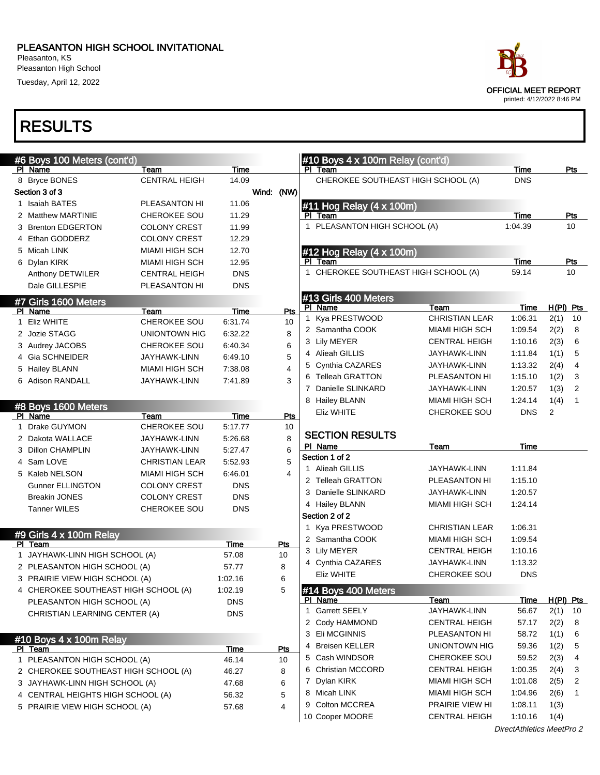#### PLEASANTON HIGH SCHOOL INVITATIONAL

Pleasanton, KS Pleasanton High School

Tuesday, April 12, 2022

## RESULTS

| #6 Boys 100 Meters (cont'd)<br>#10 Boys 4 x 100m Relay (cont'd)<br>Team<br>Time<br>Time<br>Pts<br>PI Name<br>PI Team<br>8 Bryce BONES<br><b>CENTRAL HEIGH</b><br>14.09<br>CHEROKEE SOUTHEAST HIGH SCHOOL (A)<br><b>DNS</b><br>Wind: (NW)<br>Section 3 of 3<br>1 Isaiah BATES<br>PLEASANTON HI<br>11.06<br>#11 Hog Relay (4 x 100m)<br><b>Time</b><br>2 Matthew MARTINIE<br><b>CHEROKEE SOU</b><br>11.29<br>PI Team<br><u>Pts</u><br>1 PLEASANTON HIGH SCHOOL (A)<br>1:04.39<br>10<br>3 Brenton EDGERTON<br><b>COLONY CREST</b><br>11.99<br>4 Ethan GODDERZ<br><b>COLONY CREST</b><br>12.29<br>5 Micah LINK<br><b>MIAMI HIGH SCH</b><br>12.70<br>#12 Hog Relay (4 x 100m)<br>Time<br>PI Team<br>Pts<br>6 Dylan KIRK<br><b>MIAMI HIGH SCH</b><br>12.95<br>1 CHEROKEE SOUTHEAST HIGH SCHOOL (A)<br>59.14<br>10<br><b>DNS</b><br>Anthony DETWILER<br><b>CENTRAL HEIGH</b><br>Dale GILLESPIE<br><b>DNS</b><br>PLEASANTON HI<br>#13 Girls 400 Meters<br>#7 Girls 1600 Meters<br>H(PI) Pts<br>PI Name<br>Team<br>Time<br>Pts<br>Team<br>Time<br>PI Name<br>1 Kya PRESTWOOD<br><b>CHRISTIAN LEAR</b><br>1:06.31<br>2(1)<br>CHEROKEE SOU<br>1 Eliz WHITE<br>6:31.74<br>10<br>2 Samantha COOK<br><b>MIAMI HIGH SCH</b><br>2(2)<br>8<br>1:09.54<br>8<br>2 Jozie STAGG<br>UNIONTOWN HIG<br>6:32.22<br>3 Lily MEYER<br><b>CENTRAL HEIGH</b><br>2(3)<br>6<br>1:10.16<br>6<br>3 Audrey JACOBS<br>CHEROKEE SOU<br>6:40.34<br>5<br>4 Alieah GILLIS<br>1(1)<br>JAYHAWK-LINN<br>1:11.84<br>5<br>4 Gia SCHNEIDER<br>6:49.10<br>JAYHAWK-LINN<br>4<br>5 Cynthia CAZARES<br>2(4)<br>JAYHAWK-LINN<br>1:13.32<br>$\overline{\mathbf{4}}$<br>5 Hailey BLANN<br><b>MIAMI HIGH SCH</b><br>7:38.08<br>Telleah GRATTON<br>1(2)<br>3<br>PLEASANTON HI<br>1:15.10<br>3<br>7:41.89<br>6 Adison RANDALL<br>JAYHAWK-LINN<br>7 Danielle SLINKARD<br>2<br>1:20.57<br>1(3)<br>JAYHAWK-LINN<br>1(4)<br>8 Hailey BLANN<br>1:24.14<br>$\mathbf{1}$<br><b>MIAMI HIGH SCH</b><br>#8 Boys 1600 Meters<br><b>DNS</b><br>Eliz WHITE<br>CHEROKEE SOU<br>2<br>Team<br>Time<br><u>Pts</u><br>PI Name<br>1 Drake GUYMON<br>CHEROKEE SOU<br>5:17.77<br>10<br><b>SECTION RESULTS</b><br>8<br>2 Dakota WALLACE<br>JAYHAWK-LINN<br>5:26.68<br>PI Name<br><b>Time</b><br>Team<br>6<br>3 Dillon CHAMPLIN<br>5:27.47<br>JAYHAWK-LINN<br>Section 1 of 2<br>5<br>4 Sam LOVE<br><b>CHRISTIAN LEAR</b><br>5:52.93<br>1 Alieah GILLIS<br>JAYHAWK-LINN<br>1:11.84<br>$\overline{4}$<br>5 Kaleb NELSON<br><b>MIAMI HIGH SCH</b><br>6.46.01<br>2 Telleah GRATTON<br>PLEASANTON HI<br>1:15.10<br><b>Gunner ELLINGTON</b><br><b>COLONY CREST</b><br><b>DNS</b><br>3 Danielle SLINKARD<br>JAYHAWK-LINN<br>1:20.57<br><b>Breakin JONES</b><br><b>COLONY CREST</b><br><b>DNS</b><br>4 Hailey BLANN<br><b>MIAMI HIGH SCH</b><br>1:24.14<br><b>Tanner WILES</b><br>CHEROKEE SOU<br><b>DNS</b><br>Section 2 of 2<br>1 Kya PRESTWOOD<br><b>CHRISTIAN LEAR</b><br>1:06.31<br>#9 Girls 4 x 100m Relay<br>2 Samantha COOK<br><b>MIAMI HIGH SCH</b><br>1:09.54<br>Time<br><b>Pts</b><br>PI Team<br>3 Lily MEYER<br><b>CENTRAL HEIGH</b><br>1:10.16<br>1 JAYHAWK-LINN HIGH SCHOOL (A)<br>57.08<br>10<br>4 Cynthia CAZARES<br>JAYHAWK-LINN<br>1:13.32<br>2 PLEASANTON HIGH SCHOOL (A)<br>57.77<br>8<br>Eliz WHITE<br><b>CHEROKEE SOU</b><br><b>DNS</b><br>6<br>3 PRAIRIE VIEW HIGH SCHOOL (A)<br>1:02.16<br>5<br>#14 Boys 400 Meters<br>4 CHEROKEE SOUTHEAST HIGH SCHOOL (A)<br>1:02.19<br>H(PI) Pts<br>PI Name<br><u>Team</u><br><u>Time</u><br>PLEASANTON HIGH SCHOOL (A)<br><b>DNS</b><br><b>Garrett SEELY</b><br>JAYHAWK-LINN<br>$\mathbf{1}$<br>56.67<br>$2(1)$ 10<br>CHRISTIAN LEARNING CENTER (A)<br>DNS<br>2 Cody HAMMOND<br><b>CENTRAL HEIGH</b><br>57.17<br>2(2)<br>- 8<br>3 Eli MCGINNIS<br>PLEASANTON HI<br>58.72<br>1(1)<br>6<br>#10 Boys 4 x 100m Relay<br>4 Breisen KELLER<br>UNIONTOWN HIG<br>59.36<br>5<br>1(2)<br>PI Team<br>Time<br>Pts<br>5 Cash WINDSOR<br><b>CHEROKEE SOU</b><br>59.52<br>2(3)<br>4<br>1 PLEASANTON HIGH SCHOOL (A)<br>46.14<br>10<br>6 Christian MCCORD<br><b>CENTRAL HEIGH</b><br>1:00.35<br>3<br>2(4)<br>2 CHEROKEE SOUTHEAST HIGH SCHOOL (A)<br>46.27<br>8<br>7 Dylan KIRK<br>MIAMI HIGH SCH<br>1:01.08<br>2(5)<br>2<br>6<br>3 JAYHAWK-LINN HIGH SCHOOL (A)<br>47.68<br>8 Micah LINK<br>MIAMI HIGH SCH<br>1:04.96<br>2(6)<br>$\overline{1}$<br>4 CENTRAL HEIGHTS HIGH SCHOOL (A)<br>5<br>56.32<br>9 Colton MCCREA<br><b>PRAIRIE VIEW HI</b><br>1:08.11<br>1(3)<br>5 PRAIRIE VIEW HIGH SCHOOL (A)<br>4<br>57.68<br>10 Cooper MOORE<br><b>CENTRAL HEIGH</b><br>1:10.16<br>1(4) | <b>RESULIS</b> |  |  |  |    |
|----------------------------------------------------------------------------------------------------------------------------------------------------------------------------------------------------------------------------------------------------------------------------------------------------------------------------------------------------------------------------------------------------------------------------------------------------------------------------------------------------------------------------------------------------------------------------------------------------------------------------------------------------------------------------------------------------------------------------------------------------------------------------------------------------------------------------------------------------------------------------------------------------------------------------------------------------------------------------------------------------------------------------------------------------------------------------------------------------------------------------------------------------------------------------------------------------------------------------------------------------------------------------------------------------------------------------------------------------------------------------------------------------------------------------------------------------------------------------------------------------------------------------------------------------------------------------------------------------------------------------------------------------------------------------------------------------------------------------------------------------------------------------------------------------------------------------------------------------------------------------------------------------------------------------------------------------------------------------------------------------------------------------------------------------------------------------------------------------------------------------------------------------------------------------------------------------------------------------------------------------------------------------------------------------------------------------------------------------------------------------------------------------------------------------------------------------------------------------------------------------------------------------------------------------------------------------------------------------------------------------------------------------------------------------------------------------------------------------------------------------------------------------------------------------------------------------------------------------------------------------------------------------------------------------------------------------------------------------------------------------------------------------------------------------------------------------------------------------------------------------------------------------------------------------------------------------------------------------------------------------------------------------------------------------------------------------------------------------------------------------------------------------------------------------------------------------------------------------------------------------------------------------------------------------------------------------------------------------------------------------------------------------------------------------------------------------------------------------------------------------------------------------------------------------------------------------------------------------------------------------------------------------------------------------------------------------------------------------------------------------------------------------------------------------------------------------------------------------------------------------------------------------------------------------------------------------------------------------------------------------------------------------------------------------------------------------------------------------------------------------------------------------------------------------------------------------------------------------------------------------------------------------------------|----------------|--|--|--|----|
|                                                                                                                                                                                                                                                                                                                                                                                                                                                                                                                                                                                                                                                                                                                                                                                                                                                                                                                                                                                                                                                                                                                                                                                                                                                                                                                                                                                                                                                                                                                                                                                                                                                                                                                                                                                                                                                                                                                                                                                                                                                                                                                                                                                                                                                                                                                                                                                                                                                                                                                                                                                                                                                                                                                                                                                                                                                                                                                                                                                                                                                                                                                                                                                                                                                                                                                                                                                                                                                                                                                                                                                                                                                                                                                                                                                                                                                                                                                                                                                                                                                                                                                                                                                                                                                                                                                                                                                                                                                                                                                                        |                |  |  |  |    |
|                                                                                                                                                                                                                                                                                                                                                                                                                                                                                                                                                                                                                                                                                                                                                                                                                                                                                                                                                                                                                                                                                                                                                                                                                                                                                                                                                                                                                                                                                                                                                                                                                                                                                                                                                                                                                                                                                                                                                                                                                                                                                                                                                                                                                                                                                                                                                                                                                                                                                                                                                                                                                                                                                                                                                                                                                                                                                                                                                                                                                                                                                                                                                                                                                                                                                                                                                                                                                                                                                                                                                                                                                                                                                                                                                                                                                                                                                                                                                                                                                                                                                                                                                                                                                                                                                                                                                                                                                                                                                                                                        |                |  |  |  |    |
|                                                                                                                                                                                                                                                                                                                                                                                                                                                                                                                                                                                                                                                                                                                                                                                                                                                                                                                                                                                                                                                                                                                                                                                                                                                                                                                                                                                                                                                                                                                                                                                                                                                                                                                                                                                                                                                                                                                                                                                                                                                                                                                                                                                                                                                                                                                                                                                                                                                                                                                                                                                                                                                                                                                                                                                                                                                                                                                                                                                                                                                                                                                                                                                                                                                                                                                                                                                                                                                                                                                                                                                                                                                                                                                                                                                                                                                                                                                                                                                                                                                                                                                                                                                                                                                                                                                                                                                                                                                                                                                                        |                |  |  |  |    |
|                                                                                                                                                                                                                                                                                                                                                                                                                                                                                                                                                                                                                                                                                                                                                                                                                                                                                                                                                                                                                                                                                                                                                                                                                                                                                                                                                                                                                                                                                                                                                                                                                                                                                                                                                                                                                                                                                                                                                                                                                                                                                                                                                                                                                                                                                                                                                                                                                                                                                                                                                                                                                                                                                                                                                                                                                                                                                                                                                                                                                                                                                                                                                                                                                                                                                                                                                                                                                                                                                                                                                                                                                                                                                                                                                                                                                                                                                                                                                                                                                                                                                                                                                                                                                                                                                                                                                                                                                                                                                                                                        |                |  |  |  |    |
|                                                                                                                                                                                                                                                                                                                                                                                                                                                                                                                                                                                                                                                                                                                                                                                                                                                                                                                                                                                                                                                                                                                                                                                                                                                                                                                                                                                                                                                                                                                                                                                                                                                                                                                                                                                                                                                                                                                                                                                                                                                                                                                                                                                                                                                                                                                                                                                                                                                                                                                                                                                                                                                                                                                                                                                                                                                                                                                                                                                                                                                                                                                                                                                                                                                                                                                                                                                                                                                                                                                                                                                                                                                                                                                                                                                                                                                                                                                                                                                                                                                                                                                                                                                                                                                                                                                                                                                                                                                                                                                                        |                |  |  |  |    |
|                                                                                                                                                                                                                                                                                                                                                                                                                                                                                                                                                                                                                                                                                                                                                                                                                                                                                                                                                                                                                                                                                                                                                                                                                                                                                                                                                                                                                                                                                                                                                                                                                                                                                                                                                                                                                                                                                                                                                                                                                                                                                                                                                                                                                                                                                                                                                                                                                                                                                                                                                                                                                                                                                                                                                                                                                                                                                                                                                                                                                                                                                                                                                                                                                                                                                                                                                                                                                                                                                                                                                                                                                                                                                                                                                                                                                                                                                                                                                                                                                                                                                                                                                                                                                                                                                                                                                                                                                                                                                                                                        |                |  |  |  |    |
|                                                                                                                                                                                                                                                                                                                                                                                                                                                                                                                                                                                                                                                                                                                                                                                                                                                                                                                                                                                                                                                                                                                                                                                                                                                                                                                                                                                                                                                                                                                                                                                                                                                                                                                                                                                                                                                                                                                                                                                                                                                                                                                                                                                                                                                                                                                                                                                                                                                                                                                                                                                                                                                                                                                                                                                                                                                                                                                                                                                                                                                                                                                                                                                                                                                                                                                                                                                                                                                                                                                                                                                                                                                                                                                                                                                                                                                                                                                                                                                                                                                                                                                                                                                                                                                                                                                                                                                                                                                                                                                                        |                |  |  |  |    |
|                                                                                                                                                                                                                                                                                                                                                                                                                                                                                                                                                                                                                                                                                                                                                                                                                                                                                                                                                                                                                                                                                                                                                                                                                                                                                                                                                                                                                                                                                                                                                                                                                                                                                                                                                                                                                                                                                                                                                                                                                                                                                                                                                                                                                                                                                                                                                                                                                                                                                                                                                                                                                                                                                                                                                                                                                                                                                                                                                                                                                                                                                                                                                                                                                                                                                                                                                                                                                                                                                                                                                                                                                                                                                                                                                                                                                                                                                                                                                                                                                                                                                                                                                                                                                                                                                                                                                                                                                                                                                                                                        |                |  |  |  |    |
|                                                                                                                                                                                                                                                                                                                                                                                                                                                                                                                                                                                                                                                                                                                                                                                                                                                                                                                                                                                                                                                                                                                                                                                                                                                                                                                                                                                                                                                                                                                                                                                                                                                                                                                                                                                                                                                                                                                                                                                                                                                                                                                                                                                                                                                                                                                                                                                                                                                                                                                                                                                                                                                                                                                                                                                                                                                                                                                                                                                                                                                                                                                                                                                                                                                                                                                                                                                                                                                                                                                                                                                                                                                                                                                                                                                                                                                                                                                                                                                                                                                                                                                                                                                                                                                                                                                                                                                                                                                                                                                                        |                |  |  |  |    |
|                                                                                                                                                                                                                                                                                                                                                                                                                                                                                                                                                                                                                                                                                                                                                                                                                                                                                                                                                                                                                                                                                                                                                                                                                                                                                                                                                                                                                                                                                                                                                                                                                                                                                                                                                                                                                                                                                                                                                                                                                                                                                                                                                                                                                                                                                                                                                                                                                                                                                                                                                                                                                                                                                                                                                                                                                                                                                                                                                                                                                                                                                                                                                                                                                                                                                                                                                                                                                                                                                                                                                                                                                                                                                                                                                                                                                                                                                                                                                                                                                                                                                                                                                                                                                                                                                                                                                                                                                                                                                                                                        |                |  |  |  |    |
|                                                                                                                                                                                                                                                                                                                                                                                                                                                                                                                                                                                                                                                                                                                                                                                                                                                                                                                                                                                                                                                                                                                                                                                                                                                                                                                                                                                                                                                                                                                                                                                                                                                                                                                                                                                                                                                                                                                                                                                                                                                                                                                                                                                                                                                                                                                                                                                                                                                                                                                                                                                                                                                                                                                                                                                                                                                                                                                                                                                                                                                                                                                                                                                                                                                                                                                                                                                                                                                                                                                                                                                                                                                                                                                                                                                                                                                                                                                                                                                                                                                                                                                                                                                                                                                                                                                                                                                                                                                                                                                                        |                |  |  |  |    |
|                                                                                                                                                                                                                                                                                                                                                                                                                                                                                                                                                                                                                                                                                                                                                                                                                                                                                                                                                                                                                                                                                                                                                                                                                                                                                                                                                                                                                                                                                                                                                                                                                                                                                                                                                                                                                                                                                                                                                                                                                                                                                                                                                                                                                                                                                                                                                                                                                                                                                                                                                                                                                                                                                                                                                                                                                                                                                                                                                                                                                                                                                                                                                                                                                                                                                                                                                                                                                                                                                                                                                                                                                                                                                                                                                                                                                                                                                                                                                                                                                                                                                                                                                                                                                                                                                                                                                                                                                                                                                                                                        |                |  |  |  |    |
|                                                                                                                                                                                                                                                                                                                                                                                                                                                                                                                                                                                                                                                                                                                                                                                                                                                                                                                                                                                                                                                                                                                                                                                                                                                                                                                                                                                                                                                                                                                                                                                                                                                                                                                                                                                                                                                                                                                                                                                                                                                                                                                                                                                                                                                                                                                                                                                                                                                                                                                                                                                                                                                                                                                                                                                                                                                                                                                                                                                                                                                                                                                                                                                                                                                                                                                                                                                                                                                                                                                                                                                                                                                                                                                                                                                                                                                                                                                                                                                                                                                                                                                                                                                                                                                                                                                                                                                                                                                                                                                                        |                |  |  |  |    |
|                                                                                                                                                                                                                                                                                                                                                                                                                                                                                                                                                                                                                                                                                                                                                                                                                                                                                                                                                                                                                                                                                                                                                                                                                                                                                                                                                                                                                                                                                                                                                                                                                                                                                                                                                                                                                                                                                                                                                                                                                                                                                                                                                                                                                                                                                                                                                                                                                                                                                                                                                                                                                                                                                                                                                                                                                                                                                                                                                                                                                                                                                                                                                                                                                                                                                                                                                                                                                                                                                                                                                                                                                                                                                                                                                                                                                                                                                                                                                                                                                                                                                                                                                                                                                                                                                                                                                                                                                                                                                                                                        |                |  |  |  |    |
|                                                                                                                                                                                                                                                                                                                                                                                                                                                                                                                                                                                                                                                                                                                                                                                                                                                                                                                                                                                                                                                                                                                                                                                                                                                                                                                                                                                                                                                                                                                                                                                                                                                                                                                                                                                                                                                                                                                                                                                                                                                                                                                                                                                                                                                                                                                                                                                                                                                                                                                                                                                                                                                                                                                                                                                                                                                                                                                                                                                                                                                                                                                                                                                                                                                                                                                                                                                                                                                                                                                                                                                                                                                                                                                                                                                                                                                                                                                                                                                                                                                                                                                                                                                                                                                                                                                                                                                                                                                                                                                                        |                |  |  |  | 10 |
|                                                                                                                                                                                                                                                                                                                                                                                                                                                                                                                                                                                                                                                                                                                                                                                                                                                                                                                                                                                                                                                                                                                                                                                                                                                                                                                                                                                                                                                                                                                                                                                                                                                                                                                                                                                                                                                                                                                                                                                                                                                                                                                                                                                                                                                                                                                                                                                                                                                                                                                                                                                                                                                                                                                                                                                                                                                                                                                                                                                                                                                                                                                                                                                                                                                                                                                                                                                                                                                                                                                                                                                                                                                                                                                                                                                                                                                                                                                                                                                                                                                                                                                                                                                                                                                                                                                                                                                                                                                                                                                                        |                |  |  |  |    |
|                                                                                                                                                                                                                                                                                                                                                                                                                                                                                                                                                                                                                                                                                                                                                                                                                                                                                                                                                                                                                                                                                                                                                                                                                                                                                                                                                                                                                                                                                                                                                                                                                                                                                                                                                                                                                                                                                                                                                                                                                                                                                                                                                                                                                                                                                                                                                                                                                                                                                                                                                                                                                                                                                                                                                                                                                                                                                                                                                                                                                                                                                                                                                                                                                                                                                                                                                                                                                                                                                                                                                                                                                                                                                                                                                                                                                                                                                                                                                                                                                                                                                                                                                                                                                                                                                                                                                                                                                                                                                                                                        |                |  |  |  |    |
|                                                                                                                                                                                                                                                                                                                                                                                                                                                                                                                                                                                                                                                                                                                                                                                                                                                                                                                                                                                                                                                                                                                                                                                                                                                                                                                                                                                                                                                                                                                                                                                                                                                                                                                                                                                                                                                                                                                                                                                                                                                                                                                                                                                                                                                                                                                                                                                                                                                                                                                                                                                                                                                                                                                                                                                                                                                                                                                                                                                                                                                                                                                                                                                                                                                                                                                                                                                                                                                                                                                                                                                                                                                                                                                                                                                                                                                                                                                                                                                                                                                                                                                                                                                                                                                                                                                                                                                                                                                                                                                                        |                |  |  |  |    |
|                                                                                                                                                                                                                                                                                                                                                                                                                                                                                                                                                                                                                                                                                                                                                                                                                                                                                                                                                                                                                                                                                                                                                                                                                                                                                                                                                                                                                                                                                                                                                                                                                                                                                                                                                                                                                                                                                                                                                                                                                                                                                                                                                                                                                                                                                                                                                                                                                                                                                                                                                                                                                                                                                                                                                                                                                                                                                                                                                                                                                                                                                                                                                                                                                                                                                                                                                                                                                                                                                                                                                                                                                                                                                                                                                                                                                                                                                                                                                                                                                                                                                                                                                                                                                                                                                                                                                                                                                                                                                                                                        |                |  |  |  |    |
|                                                                                                                                                                                                                                                                                                                                                                                                                                                                                                                                                                                                                                                                                                                                                                                                                                                                                                                                                                                                                                                                                                                                                                                                                                                                                                                                                                                                                                                                                                                                                                                                                                                                                                                                                                                                                                                                                                                                                                                                                                                                                                                                                                                                                                                                                                                                                                                                                                                                                                                                                                                                                                                                                                                                                                                                                                                                                                                                                                                                                                                                                                                                                                                                                                                                                                                                                                                                                                                                                                                                                                                                                                                                                                                                                                                                                                                                                                                                                                                                                                                                                                                                                                                                                                                                                                                                                                                                                                                                                                                                        |                |  |  |  |    |
|                                                                                                                                                                                                                                                                                                                                                                                                                                                                                                                                                                                                                                                                                                                                                                                                                                                                                                                                                                                                                                                                                                                                                                                                                                                                                                                                                                                                                                                                                                                                                                                                                                                                                                                                                                                                                                                                                                                                                                                                                                                                                                                                                                                                                                                                                                                                                                                                                                                                                                                                                                                                                                                                                                                                                                                                                                                                                                                                                                                                                                                                                                                                                                                                                                                                                                                                                                                                                                                                                                                                                                                                                                                                                                                                                                                                                                                                                                                                                                                                                                                                                                                                                                                                                                                                                                                                                                                                                                                                                                                                        |                |  |  |  |    |
|                                                                                                                                                                                                                                                                                                                                                                                                                                                                                                                                                                                                                                                                                                                                                                                                                                                                                                                                                                                                                                                                                                                                                                                                                                                                                                                                                                                                                                                                                                                                                                                                                                                                                                                                                                                                                                                                                                                                                                                                                                                                                                                                                                                                                                                                                                                                                                                                                                                                                                                                                                                                                                                                                                                                                                                                                                                                                                                                                                                                                                                                                                                                                                                                                                                                                                                                                                                                                                                                                                                                                                                                                                                                                                                                                                                                                                                                                                                                                                                                                                                                                                                                                                                                                                                                                                                                                                                                                                                                                                                                        |                |  |  |  |    |
|                                                                                                                                                                                                                                                                                                                                                                                                                                                                                                                                                                                                                                                                                                                                                                                                                                                                                                                                                                                                                                                                                                                                                                                                                                                                                                                                                                                                                                                                                                                                                                                                                                                                                                                                                                                                                                                                                                                                                                                                                                                                                                                                                                                                                                                                                                                                                                                                                                                                                                                                                                                                                                                                                                                                                                                                                                                                                                                                                                                                                                                                                                                                                                                                                                                                                                                                                                                                                                                                                                                                                                                                                                                                                                                                                                                                                                                                                                                                                                                                                                                                                                                                                                                                                                                                                                                                                                                                                                                                                                                                        |                |  |  |  |    |
|                                                                                                                                                                                                                                                                                                                                                                                                                                                                                                                                                                                                                                                                                                                                                                                                                                                                                                                                                                                                                                                                                                                                                                                                                                                                                                                                                                                                                                                                                                                                                                                                                                                                                                                                                                                                                                                                                                                                                                                                                                                                                                                                                                                                                                                                                                                                                                                                                                                                                                                                                                                                                                                                                                                                                                                                                                                                                                                                                                                                                                                                                                                                                                                                                                                                                                                                                                                                                                                                                                                                                                                                                                                                                                                                                                                                                                                                                                                                                                                                                                                                                                                                                                                                                                                                                                                                                                                                                                                                                                                                        |                |  |  |  |    |
|                                                                                                                                                                                                                                                                                                                                                                                                                                                                                                                                                                                                                                                                                                                                                                                                                                                                                                                                                                                                                                                                                                                                                                                                                                                                                                                                                                                                                                                                                                                                                                                                                                                                                                                                                                                                                                                                                                                                                                                                                                                                                                                                                                                                                                                                                                                                                                                                                                                                                                                                                                                                                                                                                                                                                                                                                                                                                                                                                                                                                                                                                                                                                                                                                                                                                                                                                                                                                                                                                                                                                                                                                                                                                                                                                                                                                                                                                                                                                                                                                                                                                                                                                                                                                                                                                                                                                                                                                                                                                                                                        |                |  |  |  |    |
|                                                                                                                                                                                                                                                                                                                                                                                                                                                                                                                                                                                                                                                                                                                                                                                                                                                                                                                                                                                                                                                                                                                                                                                                                                                                                                                                                                                                                                                                                                                                                                                                                                                                                                                                                                                                                                                                                                                                                                                                                                                                                                                                                                                                                                                                                                                                                                                                                                                                                                                                                                                                                                                                                                                                                                                                                                                                                                                                                                                                                                                                                                                                                                                                                                                                                                                                                                                                                                                                                                                                                                                                                                                                                                                                                                                                                                                                                                                                                                                                                                                                                                                                                                                                                                                                                                                                                                                                                                                                                                                                        |                |  |  |  |    |
|                                                                                                                                                                                                                                                                                                                                                                                                                                                                                                                                                                                                                                                                                                                                                                                                                                                                                                                                                                                                                                                                                                                                                                                                                                                                                                                                                                                                                                                                                                                                                                                                                                                                                                                                                                                                                                                                                                                                                                                                                                                                                                                                                                                                                                                                                                                                                                                                                                                                                                                                                                                                                                                                                                                                                                                                                                                                                                                                                                                                                                                                                                                                                                                                                                                                                                                                                                                                                                                                                                                                                                                                                                                                                                                                                                                                                                                                                                                                                                                                                                                                                                                                                                                                                                                                                                                                                                                                                                                                                                                                        |                |  |  |  |    |
|                                                                                                                                                                                                                                                                                                                                                                                                                                                                                                                                                                                                                                                                                                                                                                                                                                                                                                                                                                                                                                                                                                                                                                                                                                                                                                                                                                                                                                                                                                                                                                                                                                                                                                                                                                                                                                                                                                                                                                                                                                                                                                                                                                                                                                                                                                                                                                                                                                                                                                                                                                                                                                                                                                                                                                                                                                                                                                                                                                                                                                                                                                                                                                                                                                                                                                                                                                                                                                                                                                                                                                                                                                                                                                                                                                                                                                                                                                                                                                                                                                                                                                                                                                                                                                                                                                                                                                                                                                                                                                                                        |                |  |  |  |    |
|                                                                                                                                                                                                                                                                                                                                                                                                                                                                                                                                                                                                                                                                                                                                                                                                                                                                                                                                                                                                                                                                                                                                                                                                                                                                                                                                                                                                                                                                                                                                                                                                                                                                                                                                                                                                                                                                                                                                                                                                                                                                                                                                                                                                                                                                                                                                                                                                                                                                                                                                                                                                                                                                                                                                                                                                                                                                                                                                                                                                                                                                                                                                                                                                                                                                                                                                                                                                                                                                                                                                                                                                                                                                                                                                                                                                                                                                                                                                                                                                                                                                                                                                                                                                                                                                                                                                                                                                                                                                                                                                        |                |  |  |  |    |
|                                                                                                                                                                                                                                                                                                                                                                                                                                                                                                                                                                                                                                                                                                                                                                                                                                                                                                                                                                                                                                                                                                                                                                                                                                                                                                                                                                                                                                                                                                                                                                                                                                                                                                                                                                                                                                                                                                                                                                                                                                                                                                                                                                                                                                                                                                                                                                                                                                                                                                                                                                                                                                                                                                                                                                                                                                                                                                                                                                                                                                                                                                                                                                                                                                                                                                                                                                                                                                                                                                                                                                                                                                                                                                                                                                                                                                                                                                                                                                                                                                                                                                                                                                                                                                                                                                                                                                                                                                                                                                                                        |                |  |  |  |    |
|                                                                                                                                                                                                                                                                                                                                                                                                                                                                                                                                                                                                                                                                                                                                                                                                                                                                                                                                                                                                                                                                                                                                                                                                                                                                                                                                                                                                                                                                                                                                                                                                                                                                                                                                                                                                                                                                                                                                                                                                                                                                                                                                                                                                                                                                                                                                                                                                                                                                                                                                                                                                                                                                                                                                                                                                                                                                                                                                                                                                                                                                                                                                                                                                                                                                                                                                                                                                                                                                                                                                                                                                                                                                                                                                                                                                                                                                                                                                                                                                                                                                                                                                                                                                                                                                                                                                                                                                                                                                                                                                        |                |  |  |  |    |
|                                                                                                                                                                                                                                                                                                                                                                                                                                                                                                                                                                                                                                                                                                                                                                                                                                                                                                                                                                                                                                                                                                                                                                                                                                                                                                                                                                                                                                                                                                                                                                                                                                                                                                                                                                                                                                                                                                                                                                                                                                                                                                                                                                                                                                                                                                                                                                                                                                                                                                                                                                                                                                                                                                                                                                                                                                                                                                                                                                                                                                                                                                                                                                                                                                                                                                                                                                                                                                                                                                                                                                                                                                                                                                                                                                                                                                                                                                                                                                                                                                                                                                                                                                                                                                                                                                                                                                                                                                                                                                                                        |                |  |  |  |    |
|                                                                                                                                                                                                                                                                                                                                                                                                                                                                                                                                                                                                                                                                                                                                                                                                                                                                                                                                                                                                                                                                                                                                                                                                                                                                                                                                                                                                                                                                                                                                                                                                                                                                                                                                                                                                                                                                                                                                                                                                                                                                                                                                                                                                                                                                                                                                                                                                                                                                                                                                                                                                                                                                                                                                                                                                                                                                                                                                                                                                                                                                                                                                                                                                                                                                                                                                                                                                                                                                                                                                                                                                                                                                                                                                                                                                                                                                                                                                                                                                                                                                                                                                                                                                                                                                                                                                                                                                                                                                                                                                        |                |  |  |  |    |
|                                                                                                                                                                                                                                                                                                                                                                                                                                                                                                                                                                                                                                                                                                                                                                                                                                                                                                                                                                                                                                                                                                                                                                                                                                                                                                                                                                                                                                                                                                                                                                                                                                                                                                                                                                                                                                                                                                                                                                                                                                                                                                                                                                                                                                                                                                                                                                                                                                                                                                                                                                                                                                                                                                                                                                                                                                                                                                                                                                                                                                                                                                                                                                                                                                                                                                                                                                                                                                                                                                                                                                                                                                                                                                                                                                                                                                                                                                                                                                                                                                                                                                                                                                                                                                                                                                                                                                                                                                                                                                                                        |                |  |  |  |    |
|                                                                                                                                                                                                                                                                                                                                                                                                                                                                                                                                                                                                                                                                                                                                                                                                                                                                                                                                                                                                                                                                                                                                                                                                                                                                                                                                                                                                                                                                                                                                                                                                                                                                                                                                                                                                                                                                                                                                                                                                                                                                                                                                                                                                                                                                                                                                                                                                                                                                                                                                                                                                                                                                                                                                                                                                                                                                                                                                                                                                                                                                                                                                                                                                                                                                                                                                                                                                                                                                                                                                                                                                                                                                                                                                                                                                                                                                                                                                                                                                                                                                                                                                                                                                                                                                                                                                                                                                                                                                                                                                        |                |  |  |  |    |
|                                                                                                                                                                                                                                                                                                                                                                                                                                                                                                                                                                                                                                                                                                                                                                                                                                                                                                                                                                                                                                                                                                                                                                                                                                                                                                                                                                                                                                                                                                                                                                                                                                                                                                                                                                                                                                                                                                                                                                                                                                                                                                                                                                                                                                                                                                                                                                                                                                                                                                                                                                                                                                                                                                                                                                                                                                                                                                                                                                                                                                                                                                                                                                                                                                                                                                                                                                                                                                                                                                                                                                                                                                                                                                                                                                                                                                                                                                                                                                                                                                                                                                                                                                                                                                                                                                                                                                                                                                                                                                                                        |                |  |  |  |    |
|                                                                                                                                                                                                                                                                                                                                                                                                                                                                                                                                                                                                                                                                                                                                                                                                                                                                                                                                                                                                                                                                                                                                                                                                                                                                                                                                                                                                                                                                                                                                                                                                                                                                                                                                                                                                                                                                                                                                                                                                                                                                                                                                                                                                                                                                                                                                                                                                                                                                                                                                                                                                                                                                                                                                                                                                                                                                                                                                                                                                                                                                                                                                                                                                                                                                                                                                                                                                                                                                                                                                                                                                                                                                                                                                                                                                                                                                                                                                                                                                                                                                                                                                                                                                                                                                                                                                                                                                                                                                                                                                        |                |  |  |  |    |
|                                                                                                                                                                                                                                                                                                                                                                                                                                                                                                                                                                                                                                                                                                                                                                                                                                                                                                                                                                                                                                                                                                                                                                                                                                                                                                                                                                                                                                                                                                                                                                                                                                                                                                                                                                                                                                                                                                                                                                                                                                                                                                                                                                                                                                                                                                                                                                                                                                                                                                                                                                                                                                                                                                                                                                                                                                                                                                                                                                                                                                                                                                                                                                                                                                                                                                                                                                                                                                                                                                                                                                                                                                                                                                                                                                                                                                                                                                                                                                                                                                                                                                                                                                                                                                                                                                                                                                                                                                                                                                                                        |                |  |  |  |    |
|                                                                                                                                                                                                                                                                                                                                                                                                                                                                                                                                                                                                                                                                                                                                                                                                                                                                                                                                                                                                                                                                                                                                                                                                                                                                                                                                                                                                                                                                                                                                                                                                                                                                                                                                                                                                                                                                                                                                                                                                                                                                                                                                                                                                                                                                                                                                                                                                                                                                                                                                                                                                                                                                                                                                                                                                                                                                                                                                                                                                                                                                                                                                                                                                                                                                                                                                                                                                                                                                                                                                                                                                                                                                                                                                                                                                                                                                                                                                                                                                                                                                                                                                                                                                                                                                                                                                                                                                                                                                                                                                        |                |  |  |  |    |
|                                                                                                                                                                                                                                                                                                                                                                                                                                                                                                                                                                                                                                                                                                                                                                                                                                                                                                                                                                                                                                                                                                                                                                                                                                                                                                                                                                                                                                                                                                                                                                                                                                                                                                                                                                                                                                                                                                                                                                                                                                                                                                                                                                                                                                                                                                                                                                                                                                                                                                                                                                                                                                                                                                                                                                                                                                                                                                                                                                                                                                                                                                                                                                                                                                                                                                                                                                                                                                                                                                                                                                                                                                                                                                                                                                                                                                                                                                                                                                                                                                                                                                                                                                                                                                                                                                                                                                                                                                                                                                                                        |                |  |  |  |    |
|                                                                                                                                                                                                                                                                                                                                                                                                                                                                                                                                                                                                                                                                                                                                                                                                                                                                                                                                                                                                                                                                                                                                                                                                                                                                                                                                                                                                                                                                                                                                                                                                                                                                                                                                                                                                                                                                                                                                                                                                                                                                                                                                                                                                                                                                                                                                                                                                                                                                                                                                                                                                                                                                                                                                                                                                                                                                                                                                                                                                                                                                                                                                                                                                                                                                                                                                                                                                                                                                                                                                                                                                                                                                                                                                                                                                                                                                                                                                                                                                                                                                                                                                                                                                                                                                                                                                                                                                                                                                                                                                        |                |  |  |  |    |
|                                                                                                                                                                                                                                                                                                                                                                                                                                                                                                                                                                                                                                                                                                                                                                                                                                                                                                                                                                                                                                                                                                                                                                                                                                                                                                                                                                                                                                                                                                                                                                                                                                                                                                                                                                                                                                                                                                                                                                                                                                                                                                                                                                                                                                                                                                                                                                                                                                                                                                                                                                                                                                                                                                                                                                                                                                                                                                                                                                                                                                                                                                                                                                                                                                                                                                                                                                                                                                                                                                                                                                                                                                                                                                                                                                                                                                                                                                                                                                                                                                                                                                                                                                                                                                                                                                                                                                                                                                                                                                                                        |                |  |  |  |    |
|                                                                                                                                                                                                                                                                                                                                                                                                                                                                                                                                                                                                                                                                                                                                                                                                                                                                                                                                                                                                                                                                                                                                                                                                                                                                                                                                                                                                                                                                                                                                                                                                                                                                                                                                                                                                                                                                                                                                                                                                                                                                                                                                                                                                                                                                                                                                                                                                                                                                                                                                                                                                                                                                                                                                                                                                                                                                                                                                                                                                                                                                                                                                                                                                                                                                                                                                                                                                                                                                                                                                                                                                                                                                                                                                                                                                                                                                                                                                                                                                                                                                                                                                                                                                                                                                                                                                                                                                                                                                                                                                        |                |  |  |  |    |
|                                                                                                                                                                                                                                                                                                                                                                                                                                                                                                                                                                                                                                                                                                                                                                                                                                                                                                                                                                                                                                                                                                                                                                                                                                                                                                                                                                                                                                                                                                                                                                                                                                                                                                                                                                                                                                                                                                                                                                                                                                                                                                                                                                                                                                                                                                                                                                                                                                                                                                                                                                                                                                                                                                                                                                                                                                                                                                                                                                                                                                                                                                                                                                                                                                                                                                                                                                                                                                                                                                                                                                                                                                                                                                                                                                                                                                                                                                                                                                                                                                                                                                                                                                                                                                                                                                                                                                                                                                                                                                                                        |                |  |  |  |    |
|                                                                                                                                                                                                                                                                                                                                                                                                                                                                                                                                                                                                                                                                                                                                                                                                                                                                                                                                                                                                                                                                                                                                                                                                                                                                                                                                                                                                                                                                                                                                                                                                                                                                                                                                                                                                                                                                                                                                                                                                                                                                                                                                                                                                                                                                                                                                                                                                                                                                                                                                                                                                                                                                                                                                                                                                                                                                                                                                                                                                                                                                                                                                                                                                                                                                                                                                                                                                                                                                                                                                                                                                                                                                                                                                                                                                                                                                                                                                                                                                                                                                                                                                                                                                                                                                                                                                                                                                                                                                                                                                        |                |  |  |  |    |
|                                                                                                                                                                                                                                                                                                                                                                                                                                                                                                                                                                                                                                                                                                                                                                                                                                                                                                                                                                                                                                                                                                                                                                                                                                                                                                                                                                                                                                                                                                                                                                                                                                                                                                                                                                                                                                                                                                                                                                                                                                                                                                                                                                                                                                                                                                                                                                                                                                                                                                                                                                                                                                                                                                                                                                                                                                                                                                                                                                                                                                                                                                                                                                                                                                                                                                                                                                                                                                                                                                                                                                                                                                                                                                                                                                                                                                                                                                                                                                                                                                                                                                                                                                                                                                                                                                                                                                                                                                                                                                                                        |                |  |  |  |    |
|                                                                                                                                                                                                                                                                                                                                                                                                                                                                                                                                                                                                                                                                                                                                                                                                                                                                                                                                                                                                                                                                                                                                                                                                                                                                                                                                                                                                                                                                                                                                                                                                                                                                                                                                                                                                                                                                                                                                                                                                                                                                                                                                                                                                                                                                                                                                                                                                                                                                                                                                                                                                                                                                                                                                                                                                                                                                                                                                                                                                                                                                                                                                                                                                                                                                                                                                                                                                                                                                                                                                                                                                                                                                                                                                                                                                                                                                                                                                                                                                                                                                                                                                                                                                                                                                                                                                                                                                                                                                                                                                        |                |  |  |  |    |
|                                                                                                                                                                                                                                                                                                                                                                                                                                                                                                                                                                                                                                                                                                                                                                                                                                                                                                                                                                                                                                                                                                                                                                                                                                                                                                                                                                                                                                                                                                                                                                                                                                                                                                                                                                                                                                                                                                                                                                                                                                                                                                                                                                                                                                                                                                                                                                                                                                                                                                                                                                                                                                                                                                                                                                                                                                                                                                                                                                                                                                                                                                                                                                                                                                                                                                                                                                                                                                                                                                                                                                                                                                                                                                                                                                                                                                                                                                                                                                                                                                                                                                                                                                                                                                                                                                                                                                                                                                                                                                                                        |                |  |  |  |    |
|                                                                                                                                                                                                                                                                                                                                                                                                                                                                                                                                                                                                                                                                                                                                                                                                                                                                                                                                                                                                                                                                                                                                                                                                                                                                                                                                                                                                                                                                                                                                                                                                                                                                                                                                                                                                                                                                                                                                                                                                                                                                                                                                                                                                                                                                                                                                                                                                                                                                                                                                                                                                                                                                                                                                                                                                                                                                                                                                                                                                                                                                                                                                                                                                                                                                                                                                                                                                                                                                                                                                                                                                                                                                                                                                                                                                                                                                                                                                                                                                                                                                                                                                                                                                                                                                                                                                                                                                                                                                                                                                        |                |  |  |  |    |



printed: 4/12/2022 8:46 PM

DirectAthletics MeetPro 2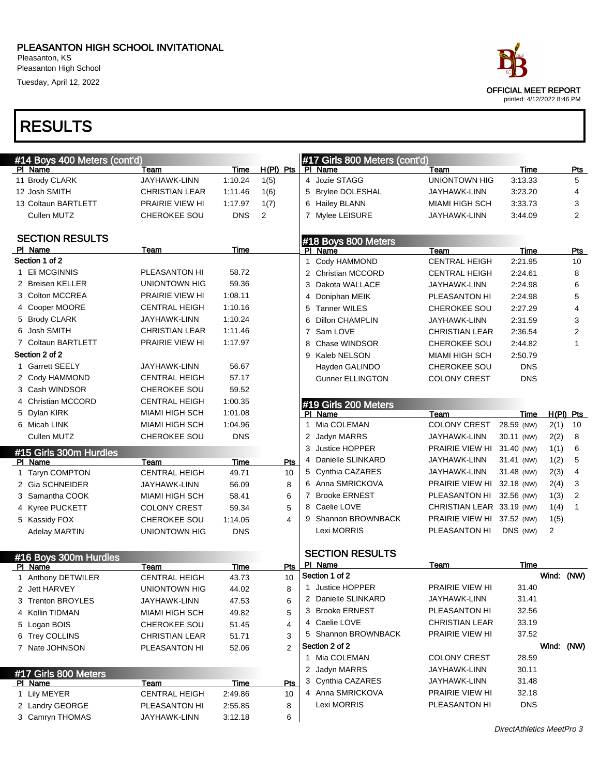Pleasanton, KS Pleasanton High School Tuesday, April 12, 2022

| #14 Boys 400 Meters (cont'd) |                        |                       |             |                         |   | #17 Girls 800 Meters (cont'd) |                            |            |            |                |
|------------------------------|------------------------|-----------------------|-------------|-------------------------|---|-------------------------------|----------------------------|------------|------------|----------------|
|                              | PI Name                | Team                  | Time        | $H(PI)$ Pts             |   | PI Name                       | Team                       | Time       |            | <b>Pts</b>     |
|                              | 11 Brody CLARK         | JAYHAWK-LINN          | 1:10.24     | 1(5)                    |   | 4 Jozie STAGG                 | <b>UNIONTOWN HIG</b>       | 3:13.33    |            | 5              |
|                              | 12 Josh SMITH          | <b>CHRISTIAN LEAR</b> | 1:11.46     | 1(6)                    |   | 5 Brylee DOLESHAL             | JAYHAWK-LINN               | 3:23.20    |            | 4              |
|                              | 13 Coltaun BARTLETT    | PRAIRIE VIEW HI       | 1:17.97     | 1(7)                    |   | 6 Hailey BLANN                | MIAMI HIGH SCH             | 3:33.73    |            | 3              |
|                              | Cullen MUTZ            | CHEROKEE SOU          | <b>DNS</b>  | 2                       |   | 7 Mylee LEISURE               | JAYHAWK-LINN               | 3:44.09    |            | $\overline{2}$ |
|                              | <b>SECTION RESULTS</b> |                       |             |                         |   | #18 Boys 800 Meters           |                            |            |            |                |
|                              | PI Name                | Team                  | Time        |                         |   | PI Name                       | Team                       | Time       |            | <b>Pts</b>     |
|                              | Section 1 of 2         |                       |             |                         |   | 1 Cody HAMMOND                | <b>CENTRAL HEIGH</b>       | 2:21.95    |            | 10             |
|                              | 1 Eli MCGINNIS         | PLEASANTON HI         | 58.72       |                         |   | 2 Christian MCCORD            | <b>CENTRAL HEIGH</b>       | 2:24.61    |            | 8              |
|                              | 2 Breisen KELLER       | <b>UNIONTOWN HIG</b>  | 59.36       |                         |   | 3 Dakota WALLACE              | JAYHAWK-LINN               | 2:24.98    |            | 6              |
|                              | 3 Colton MCCREA        | PRAIRIE VIEW HI       | 1:08.11     |                         |   | 4 Doniphan MEIK               | PLEASANTON HI              | 2:24.98    |            | 5              |
|                              | 4 Cooper MOORE         | <b>CENTRAL HEIGH</b>  | 1:10.16     |                         |   | 5 Tanner WILES                | CHEROKEE SOU               | 2:27.29    |            | 4              |
|                              | 5 Brody CLARK          | JAYHAWK-LINN          | 1:10.24     |                         | 6 | Dillon CHAMPLIN               | JAYHAWK-LINN               | 2:31.59    |            | 3              |
|                              | 6 Josh SMITH           | <b>CHRISTIAN LEAR</b> | 1:11.46     |                         |   | 7 Sam LOVE                    | CHRISTIAN LEAR             | 2:36.54    |            | 2              |
|                              | 7 Coltaun BARTLETT     | PRAIRIE VIEW HI       | 1:17.97     |                         | 8 | Chase WINDSOR                 | <b>CHEROKEE SOU</b>        | 2:44.82    |            | $\mathbf{1}$   |
|                              | Section 2 of 2         |                       |             |                         |   | 9 Kaleb NELSON                | MIAMI HIGH SCH             | 2:50.79    |            |                |
|                              | 1 Garrett SEELY        | JAYHAWK-LINN          | 56.67       |                         |   | Hayden GALINDO                | <b>CHEROKEE SOU</b>        | <b>DNS</b> |            |                |
|                              | 2 Cody HAMMOND         | <b>CENTRAL HEIGH</b>  | 57.17       |                         |   | <b>Gunner ELLINGTON</b>       | <b>COLONY CREST</b>        | <b>DNS</b> |            |                |
|                              | 3 Cash WINDSOR         | <b>CHEROKEE SOU</b>   | 59.52       |                         |   |                               |                            |            |            |                |
|                              | 4 Christian MCCORD     | <b>CENTRAL HEIGH</b>  | 1:00.35     |                         |   | #19 Girls 200 Meters          |                            |            |            |                |
|                              | 5 Dylan KIRK           | <b>MIAMI HIGH SCH</b> | 1:01.08     |                         |   | PI Name                       | Team                       | Time       |            | $H(PI)$ Pts    |
|                              | 6 Micah LINK           | MIAMI HIGH SCH        | 1:04.96     |                         |   | 1 Mia COLEMAN                 | <b>COLONY CREST</b>        | 28.59 (NW) | 2(1)       | 10             |
|                              | Cullen MUTZ            | CHEROKEE SOU          | <b>DNS</b>  |                         |   | 2 Jadyn MARRS                 | JAYHAWK-LINN               | 30.11 (NW) | 2(2)       | 8              |
|                              | #15 Girls 300m Hurdles |                       |             |                         | 3 | Justice HOPPER                | PRAIRIE VIEW HI 31.40 (NW) |            | 1(1)       | 6              |
|                              | PI Name                | Team                  | Time        | Pts                     |   | 4 Danielle SLINKARD           | JAYHAWK-LINN               | 31.41 (NW) | 1(2)       | 5              |
|                              | 1 Taryn COMPTON        | <b>CENTRAL HEIGH</b>  | 49.71       | 10                      |   | 5 Cynthia CAZARES             | JAYHAWK-LINN               | 31.48 (NW) | 2(3)       | 4              |
|                              | 2 Gia SCHNEIDER        | JAYHAWK-LINN          | 56.09       | 8                       |   | 6 Anna SMRICKOVA              | PRAIRIE VIEW HI 32.18 (NW) |            | 2(4)       | 3              |
|                              | 3 Samantha COOK        | <b>MIAMI HIGH SCH</b> | 58.41       | 6                       |   | 7 Brooke ERNEST               | PLEASANTON HI              | 32.56 (NW) | 1(3)       | 2              |
|                              | 4 Kyree PUCKETT        | COLONY CREST          | 59.34       | 5                       |   | 8 Caelie LOVE                 | CHRISTIAN LEAR 33.19 (NW)  |            | 1(4)       | 1              |
|                              | 5 Kassidy FOX          | CHEROKEE SOU          | 1:14.05     | $\overline{\mathbf{4}}$ |   | 9 Shannon BROWNBACK           | PRAIRIE VIEW HI 37.52 (NW) |            | 1(5)       |                |
|                              | <b>Adelay MARTIN</b>   | UNIONTOWN HIG         | <b>DNS</b>  |                         |   | Lexi MORRIS                   | PLEASANTON HI              | DNS (NW)   | 2          |                |
|                              |                        |                       |             |                         |   |                               |                            |            |            |                |
|                              | #16 Boys 300m Hurdles  |                       |             |                         |   | <b>SECTION RESULTS</b>        |                            |            |            |                |
|                              | PI Name                | Team                  | Time        | Pts                     |   | PI Name<br>Section 1 of 2     | <b>Team</b>                | Time       |            |                |
|                              | 1 Anthony DETWILER     | <b>CENTRAL HEIGH</b>  | 43.73       | 10                      |   |                               | <b>PRAIRIE VIEW HI</b>     |            | Wind: (NW) |                |
|                              | 2 Jett HARVEY          | UNIONTOWN HIG         | 44.02       | 8                       | 1 | Justice HOPPER                |                            | 31.40      |            |                |
|                              | 3 Trenton BROYLES      | JAYHAWK-LINN          | 47.53       | 6                       |   | 2 Danielle SLINKARD           | JAYHAWK-LINN               | 31.41      |            |                |
|                              | 4 Kollin TIDMAN        | <b>MIAMI HIGH SCH</b> | 49.82       | 5                       |   | 3 Brooke ERNEST               | PLEASANTON HI              | 32.56      |            |                |
|                              | 5 Logan BOIS           | CHEROKEE SOU          | 51.45       | 4                       |   | 4 Caelie LOVE                 | <b>CHRISTIAN LEAR</b>      | 33.19      |            |                |
|                              | 6 Trey COLLINS         | <b>CHRISTIAN LEAR</b> | 51.71       | 3                       |   | 5 Shannon BROWNBACK           | PRAIRIE VIEW HI            | 37.52      |            |                |
|                              | 7 Nate JOHNSON         | PLEASANTON HI         | 52.06       | 2                       |   | Section 2 of 2                |                            |            | Wind: (NW) |                |
|                              |                        |                       |             |                         |   | 1 Mia COLEMAN                 | COLONY CREST               | 28.59      |            |                |
|                              | #17 Girls 800 Meters   |                       |             |                         |   | 2 Jadyn MARRS                 | JAYHAWK-LINN               | 30.11      |            |                |
|                              | PI Name                | Team                  | <u>Time</u> | Pts                     |   | 3 Cynthia CAZARES             | JAYHAWK-LINN               | 31.48      |            |                |
|                              | 1 Lily MEYER           | CENTRAL HEIGH         | 2:49.86     | 10                      |   | 4 Anna SMRICKOVA              | PRAIRIE VIEW HI            | 32.18      |            |                |
|                              | 2 Landry GEORGE        | PLEASANTON HI         | 2:55.85     | 8                       |   | Lexi MORRIS                   | PLEASANTON HI              | <b>DNS</b> |            |                |
|                              | 3 Camryn THOMAS        | JAYHAWK-LINN          | 3:12.18     | 6                       |   |                               |                            |            |            |                |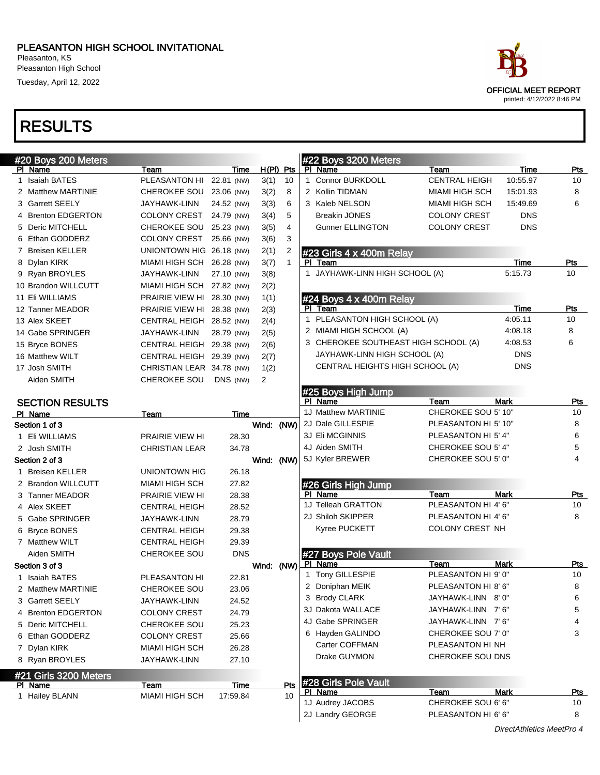Pleasanton, KS Pleasanton High School

Tuesday, April 12, 2022

| ace                        |
|----------------------------|
| OFFICIAL MEET REPORT       |
| printed: 4/12/2022 8:46 PM |

| #20 Boys 200 Meters              |                            |            |            |              | #22 Boys 3200 Meters                 |                        |             |            |
|----------------------------------|----------------------------|------------|------------|--------------|--------------------------------------|------------------------|-------------|------------|
| PI Name                          | Team                       | Time       |            | $H(PI)$ Pts  | PI Name                              | Team                   | Time        | Pts        |
| 1 Isaiah BATES                   | PLEASANTON HI 22.81 (NW)   |            | 3(1)       | 10           | 1 Connor BURKDOLL                    | <b>CENTRAL HEIGH</b>   | 10:55.97    | 10         |
| 2 Matthew MARTINIE               | CHEROKEE SOU 23.06 (NW)    |            | 3(2)       | 8            | 2 Kollin TIDMAN                      | <b>MIAMI HIGH SCH</b>  | 15:01.93    | 8          |
| 3 Garrett SEELY                  | JAYHAWK-LINN               | 24.52 (NW) | 3(3)       | 6            | 3 Kaleb NELSON                       | <b>MIAMI HIGH SCH</b>  | 15:49.69    | 6          |
| 4 Brenton EDGERTON               | COLONY CREST               | 24.79 (NW) | 3(4)       | 5            | <b>Breakin JONES</b>                 | <b>COLONY CREST</b>    | <b>DNS</b>  |            |
| 5 Deric MITCHELL                 | CHEROKEE SOU 25.23 (NW)    |            | 3(5)       | 4            | <b>Gunner ELLINGTON</b>              | <b>COLONY CREST</b>    | <b>DNS</b>  |            |
| 6 Ethan GODDERZ                  | COLONY CREST               | 25.66 (NW) | 3(6)       | 3            |                                      |                        |             |            |
| 7 Breisen KELLER                 | UNIONTOWN HIG 26.18 (NW)   |            | 2(1)       | 2            | #23 Girls 4 x 400m Relay             |                        |             |            |
| 8 Dylan KIRK                     | MIAMI HIGH SCH             | 26.28 (NW) | 3(7)       | $\mathbf{1}$ | PI Team                              |                        | Time        | <b>Pts</b> |
| 9 Ryan BROYLES                   | JAYHAWK-LINN               | 27.10 (NW) | 3(8)       |              | 1 JAYHAWK-LINN HIGH SCHOOL (A)       |                        | 5:15.73     | 10         |
| 10 Brandon WILLCUTT              | MIAMI HIGH SCH 27.82 (NW)  |            | 2(2)       |              |                                      |                        |             |            |
| 11 Eli WILLIAMS                  | PRAIRIE VIEW HI 28.30 (NW) |            | 1(1)       |              | #24 Boys $4 \times 400$ m Relay      |                        |             |            |
| 12 Tanner MEADOR                 | PRAIRIE VIEW HI 28.38 (NW) |            | 2(3)       |              | PI Team                              |                        | Time        | Pts        |
| 13 Alex SKEET                    | CENTRAL HEIGH 28.52 (NW)   |            | 2(4)       |              | 1 PLEASANTON HIGH SCHOOL (A)         |                        | 4:05.11     | 10         |
| 14 Gabe SPRINGER                 | JAYHAWK-LINN               | 28.79 (NW) | 2(5)       |              | 2 MIAMI HIGH SCHOOL (A)              |                        | 4:08.18     | 8          |
| 15 Bryce BONES                   | CENTRAL HEIGH 29.38 (NW)   |            | 2(6)       |              | 3 CHEROKEE SOUTHEAST HIGH SCHOOL (A) |                        | 4:08.53     | 6          |
| 16 Matthew WILT                  | CENTRAL HEIGH 29.39 (NW)   |            | 2(7)       |              | JAYHAWK-LINN HIGH SCHOOL (A)         |                        | DNS         |            |
| 17 Josh SMITH                    | CHRISTIAN LEAR 34.78 (NW)  |            | 1(2)       |              | CENTRAL HEIGHTS HIGH SCHOOL (A)      |                        | DNS         |            |
| Aiden SMITH                      | CHEROKEE SOU               | DNS (NW)   | 2          |              |                                      |                        |             |            |
|                                  |                            |            |            |              | #25 Boys High Jump                   |                        |             |            |
| <b>SECTION RESULTS</b>           |                            |            |            |              | PI Name                              | Team                   | <b>Mark</b> | Pts        |
| PI Name                          | Team                       | Time       |            |              | 1J Matthew MARTINIE                  | CHEROKEE SOU 5' 10"    |             | 10         |
| Section 1 of 3                   |                            |            | Wind: (NW) |              | 2J Dale GILLESPIE                    | PLEASANTON HI 5' 10"   |             | 8          |
| 1 Eli WILLIAMS                   | PRAIRIE VIEW HI            | 28.30      |            |              | 3J Eli MCGINNIS                      | PLEASANTON HI 5' 4"    |             | 6          |
| 2 Josh SMITH                     | CHRISTIAN LEAR             | 34.78      |            |              | 4J Aiden SMITH                       | CHEROKEE SOU 5' 4"     |             | 5          |
| Section 2 of 3                   |                            |            | Wind: (NW) |              | 5J Kyler BREWER                      | CHEROKEE SOU 5' 0"     |             | 4          |
| 1 Breisen KELLER                 | UNIONTOWN HIG              | 26.18      |            |              |                                      |                        |             |            |
| 2 Brandon WILLCUTT               | MIAMI HIGH SCH             | 27.82      |            |              | #26 Girls High Jump                  |                        |             |            |
| 3 Tanner MEADOR                  | PRAIRIE VIEW HI            | 28.38      |            |              | PI Name                              | Team                   | <b>Mark</b> | <b>Pts</b> |
| 4 Alex SKEET                     | <b>CENTRAL HEIGH</b>       | 28.52      |            |              | 1J Telleah GRATTON                   | PLEASANTON HI 4' 6"    |             | 10         |
| 5 Gabe SPRINGER                  | JAYHAWK-LINN               | 28.79      |            |              | 2J Shiloh SKIPPER                    | PLEASANTON HI 4' 6"    |             | 8          |
| 6 Bryce BONES                    | <b>CENTRAL HEIGH</b>       | 29.38      |            |              | Kyree PUCKETT                        | <b>COLONY CREST NH</b> |             |            |
| 7 Matthew WILT                   | <b>CENTRAL HEIGH</b>       | 29.39      |            |              |                                      |                        |             |            |
| Aiden SMITH                      | CHEROKEE SOU               | <b>DNS</b> |            |              | #27 Boys Pole Vault                  |                        |             |            |
| Section 3 of 3                   |                            |            | Wind: (NW) |              | PI Name                              | Team                   | Mark        | Pts        |
| 1 Isaiah BATES                   | PLEASANTON HI              | 22.81      |            |              | 1 Tony GILLESPIE                     | PLEASANTON HI 9' 0"    |             | 10         |
| 2 Matthew MARTINIE               | CHEROKEE SOU               | 23.06      |            |              | 2 Doniphan MEIK                      | PLEASANTON HI 8' 6"    |             | 8          |
| 3 Garrett SEELY                  | JAYHAWK-LINN               | 24.52      |            |              | 3 Brody CLARK                        | JAYHAWK-LINN 8'0"      |             | 6          |
| 4 Brenton EDGERTON               | <b>COLONY CREST</b>        | 24.79      |            |              | 3J Dakota WALLACE                    | JAYHAWK-LINN 7'6"      |             | 5          |
| 5 Deric MITCHELL                 | <b>CHEROKEE SOU</b>        | 25.23      |            |              | 4J Gabe SPRINGER                     | JAYHAWK-LINN 7'6"      |             | 4          |
| 6 Ethan GODDERZ                  | <b>COLONY CREST</b>        | 25.66      |            |              | 6 Hayden GALINDO                     | CHEROKEE SOU 7' 0"     |             | 3          |
| 7 Dylan KIRK                     | <b>MIAMI HIGH SCH</b>      | 26.28      |            |              | Carter COFFMAN                       | PLEASANTON HI NH       |             |            |
| 8 Ryan BROYLES                   | JAYHAWK-LINN               | 27.10      |            |              | Drake GUYMON                         | CHEROKEE SOU DNS       |             |            |
|                                  |                            |            |            |              |                                      |                        |             |            |
| #21 Girls 3200 Meters<br>PI Name | Team                       | Time       |            | Pts          | #28 Girls Pole Vault                 |                        |             |            |
| 1 Hailey BLANN                   | <b>MIAMI HIGH SCH</b>      | 17:59.84   |            | 10           | PI Name                              | Team                   | Mark        | <u>Pts</u> |
|                                  |                            |            |            |              | 1J Audrey JACOBS                     | CHEROKEE SOU 6' 6"     |             | 10         |
|                                  |                            |            |            |              | 2J Landry GEORGE                     | PLEASANTON HI 6' 6"    |             | 8          |
|                                  |                            |            |            |              |                                      |                        |             |            |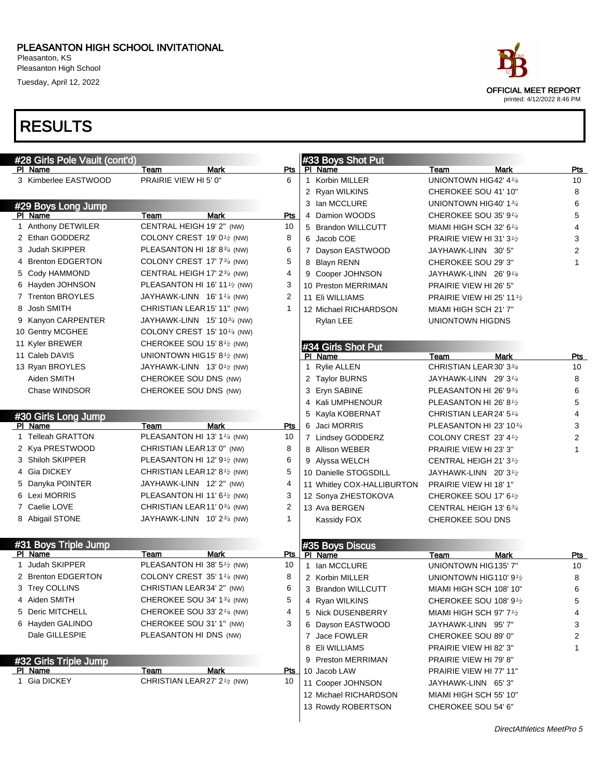### PLEASANTON HIGH SCHOOL INVITATIONAL

Pleasanton, KS Pleasanton High School

Tuesday, April 12, 2022

| race                                                      |
|-----------------------------------------------------------|
| <b>OFFICIAL MEET REPORT</b><br>printed: 4/12/2022 8:46 PM |
|                                                           |

| #28 Girls Pole Vault (cont'd) |                                                       |                           |             | #33 Boys Shot Put          |                                     |             |            |
|-------------------------------|-------------------------------------------------------|---------------------------|-------------|----------------------------|-------------------------------------|-------------|------------|
| PI Name                       | Team                                                  | Mark                      | Pts         | PI Name                    | Team                                | <b>Mark</b> | <u>Pts</u> |
| 3 Kimberlee EASTWOOD          | PRAIRIE VIEW HI 5' 0"                                 | 6                         |             | 1 Korbin MILLER            | UNIONTOWN HIG42' 41/4               |             | 10         |
|                               |                                                       |                           |             | 2 Ryan WILKINS             | CHEROKEE SOU 41' 10"                |             | 8          |
| #29 Boys Long Jump            |                                                       |                           |             | 3 Ian MCCLURE              | UNIONTOWN HIG40' 1 <sup>3/4</sup>   |             | 6          |
| PI Name                       | Team                                                  | Mark<br>Pts               |             | 4 Damion WOODS             | CHEROKEE SOU 35' 9 <sup>1/4</sup>   |             | 5          |
| 1 Anthony DETWILER            | CENTRAL HEIGH 19' 2" (NW)                             | 10                        |             | 5 Brandon WILLCUTT         | MIAMI HIGH SCH 32' 6 $\frac{1}{4}$  |             | 4          |
| 2 Ethan GODDERZ               | COLONY CREST 19' 0 <sup>1</sup> /2 (NW)               | 8                         |             | 6 Jacob COE                | PRAIRIE VIEW HI 31' $3\frac{1}{2}$  |             | 3          |
| 3 Judah SKIPPER               | PLEASANTON HI 18' 834 (NW)                            | 6                         |             | 7 Dayson EASTWOOD          | JAYHAWK-LINN 30' 5"                 |             | 2          |
| 4 Brenton EDGERTON            | COLONY CREST 17' 7 <sup>3/4</sup> (NW)                | 5                         |             | 8 Blayn RENN               | CHEROKEE SOU 29' 3"                 |             | 1          |
| 5 Cody HAMMOND                | CENTRAL HEIGH 17' 2 <sup>3/4</sup> (NW)               | 4                         |             | 9 Cooper JOHNSON           | JAYHAWK-LINN 26'9 $\frac{1}{4}$     |             |            |
| 6 Hayden JOHNSON              | PLEASANTON HI 16' 11 <sup>1</sup> / <sub>2</sub> (NW) | 3                         |             | 10 Preston MERRIMAN        | PRAIRIE VIEW HI 26' 5"              |             |            |
| 7 Trenton BROYLES             | JAYHAWK-LINN 16' 1 $\frac{1}{4}$ (NW)                 | 2                         |             | 11 Eli WILLIAMS            | <b>PRAIRIE VIEW HI 25' 11 1/2</b>   |             |            |
| 8 Josh SMITH                  | CHRISTIAN LEAR 15' 11" (NW)                           | 1                         |             | 12 Michael RICHARDSON      | MIAMI HIGH SCH 21' 7"               |             |            |
| 9 Kanyon CARPENTER            | $JAYHAWK-LINN$ 15' 103 $4$ (NW)                       |                           |             | Rylan LEE                  | UNIONTOWN HIGDNS                    |             |            |
| 10 Gentry MCGHEE              | COLONY CREST 15' 10 $\frac{1}{4}$ (NW)                |                           |             |                            |                                     |             |            |
| 11 Kyler BREWER               | CHEROKEE SOU 15' 8 $\frac{1}{2}$ (NW)                 |                           |             | #34 Girls Shot Put         |                                     |             |            |
| 11 Caleb DAVIS                | UNIONTOWN HIG15' 8 <sup>1/2</sup> (NW)                |                           |             | PI Name                    | Team                                | <b>Mark</b> | Pts        |
| 13 Ryan BROYLES               | JAYHAWK-LINN 13' 0 $\frac{1}{2}$ (NW)                 |                           |             | 1 Rylie ALLEN              | CHRISTIAN LEAR 30' 334              |             | 10         |
| Aiden SMITH                   | CHEROKEE SOU DNS (NW)                                 |                           |             | 2 Taylor BURNS             | JAYHAWK-LINN 29' 31/4               |             | 8          |
| Chase WINDSOR                 | CHEROKEE SOU DNS (NW)                                 |                           |             | 3 Eryn SABINE              | PLEASANTON HI 26' 934               |             | 6          |
|                               |                                                       |                           |             | 4 Kali UMPHENOUR           | PLEASANTON HI 26' 8 <sup>1</sup> /2 |             | 5          |
| #30 Girls Long Jump           |                                                       |                           |             | 5 Kayla KOBERNAT           | CHRISTIAN LEAR 24' 514              |             | 4          |
| PI Name                       | Team                                                  | <b>Mark</b><br>Pts        |             | 6 Jaci MORRIS              | PLEASANTON HI 23' 1034              |             | 3          |
| 1 Telleah GRATTON             | PLEASANTON HI 13' 1 <sup>1/4</sup> (NW)               | 10                        |             | 7 Lindsey GODDERZ          | COLONY CREST 23' 41/2               |             | 2          |
| 2 Kya PRESTWOOD               | CHRISTIAN LEAR13' 0" (NW)                             | 8                         |             | 8 Allison WEBER            | PRAIRIE VIEW HI 23' 3"              |             | 1          |
| 3 Shiloh SKIPPER              | PLEASANTON HI 12' 91/2 (NW)                           | 6                         |             | 9 Alyssa WELCH             | CENTRAL HEIGH 21' 3 <sup>1</sup> /2 |             |            |
| 4 Gia DICKEY                  | CHRISTIAN LEAR12' 8 <sup>1/2</sup> (NW)               | 5                         |             | 10 Danielle STOGSDILL      | JAYHAWK-LINN 20'3 $\frac{1}{2}$     |             |            |
| 5 Danyka POINTER              | JAYHAWK-LINN 12' 2" (NW)                              | 4                         |             | 11 Whitley COX-HALLIBURTON | PRAIRIE VIEW HI 18' 1"              |             |            |
| 6 Lexi MORRIS                 | PLEASANTON HI 11' 6 $\frac{1}{2}$ (NW)                | 3                         |             | 12 Sonya ZHESTOKOVA        | CHEROKEE SOU 17' 6 <sup>1</sup> /2  |             |            |
| 7 Caelie LOVE                 | CHRISTIAN LEAR11' 03/4 (NW)                           | $\overline{c}$            |             | 13 Ava BERGEN              | CENTRAL HEIGH 13' 6 <sup>3/4</sup>  |             |            |
| 8 Abigail STONE               | JAYHAWK-LINN $10' 2^{3/4}$ (NW)                       | 1                         |             | Kassidy FOX                | <b>CHEROKEE SOU DNS</b>             |             |            |
|                               |                                                       |                           |             |                            |                                     |             |            |
| #31 Boys Triple Jump          |                                                       |                           |             | #35 Boys Discus            |                                     |             |            |
| PI Name                       | Team                                                  | <b>Mark</b><br><u>Pts</u> |             | PI Name                    | Team                                | Mark        | Pts        |
| 1 Judah SKIPPER               | PLEASANTON HI 38' 5 <sup>1</sup> /2 (NW)              | 10                        | $\mathbf 1$ | lan MCCLURE                | UNIONTOWN HIG135' 7"                |             | 10         |
| 2 Brenton EDGERTON            | COLONY CREST 35' 1 <sup>1/4</sup> (NW)                | 8                         |             | 2 Korbin MILLER            | UNIONTOWN HIG110' 91/2              |             | 8          |
| 3 Trey COLLINS                | CHRISTIAN LEAR34' 2" (NW)                             | 6                         | 3           | <b>Brandon WILLCUTT</b>    | MIAMI HIGH SCH 108' 10"             |             | 6          |
| 4 Aiden SMITH                 | CHEROKEE SOU 34' 1 <sup>3/4</sup> (NW)                | 5                         |             | 4 Ryan WILKINS             | CHEROKEE SOU 108' 9 <sup>1</sup> /2 |             | 5          |
| 5 Deric MITCHELL              | CHEROKEE SOU 33' 2 <sup>1/4</sup> (NW)                | 4                         |             | 5 Nick DUSENBERRY          | MIAMI HIGH SCH 97' $7\frac{1}{2}$   |             | 4          |
| 6 Hayden GALINDO              | CHEROKEE SOU 31' 1" (NW)                              | 3                         |             | 6 Dayson EASTWOOD          | JAYHAWK-LINN 95'7"                  |             | 3          |
| Dale GILLESPIE                | PLEASANTON HI DNS (NW)                                |                           |             | 7 Jace FOWLER              | CHEROKEE SOU 89' 0"                 |             | 2          |
|                               |                                                       |                           |             | 8 Eli WILLIAMS             | PRAIRIE VIEW HI 82' 3"              |             |            |
| #32 Girls Triple Jump         |                                                       |                           |             | 9 Preston MERRIMAN         | PRAIRIE VIEW HI 79' 8"              |             |            |
| PI Name                       | <b>Team</b>                                           | <b>Mark</b><br>Pts        |             | 10 Jacob LAW               | PRAIRIE VIEW HI 77' 11"             |             |            |
| 1 Gia DICKEY                  | CHRISTIAN LEAR 27' 2 <sup>1/2</sup> (NW)              | 10                        |             | 11 Cooper JOHNSON          | JAYHAWK-LINN 65' 3"                 |             |            |
|                               |                                                       |                           |             | 12 Michael RICHARDSON      | MIAMI HIGH SCH 55' 10"              |             |            |
|                               |                                                       |                           |             | 13 Rowdy ROBERTSON         | CHEROKEE SOU 54' 6"                 |             |            |